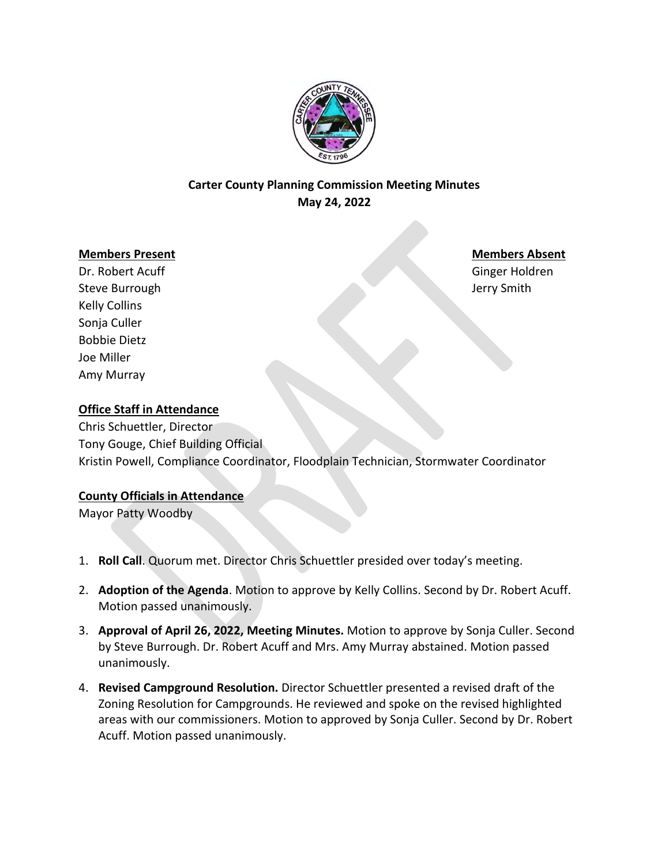

# **Carter County Planning Commission Meeting Minutes May 24, 2022**

#### **Members Present Members Absent**

Dr. Robert Acuff Ginger Holdren Steve Burrough Jerry Smith Kelly Collins Sonja Culler Bobbie Dietz Joe Miller Amy Murray

### **Office Staff in Attendance**

Chris Schuettler, Director Tony Gouge, Chief Building Official Kristin Powell, Compliance Coordinator, Floodplain Technician, Stormwater Coordinator

#### **County Officials in Attendance**

Mayor Patty Woodby

- 1. **Roll Call**. Quorum met. Director Chris Schuettler presided over today's meeting.
- 2. **Adoption of the Agenda**. Motion to approve by Kelly Collins. Second by Dr. Robert Acuff. Motion passed unanimously.
- 3. **Approval of April 26, 2022, Meeting Minutes.** Motion to approve by Sonja Culler. Second by Steve Burrough. Dr. Robert Acuff and Mrs. Amy Murray abstained. Motion passed unanimously.
- 4. **Revised Campground Resolution.** Director Schuettler presented a revised draft of the Zoning Resolution for Campgrounds. He reviewed and spoke on the revised highlighted areas with our commissioners. Motion to approved by Sonja Culler. Second by Dr. Robert Acuff. Motion passed unanimously.